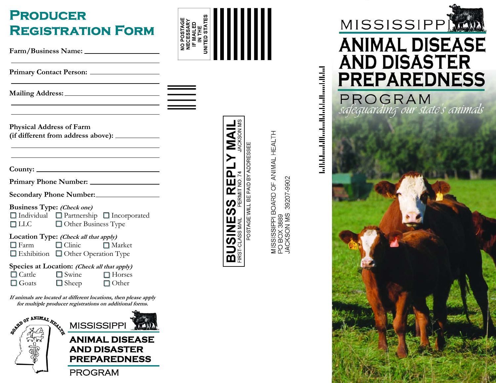| <b>PRODUCER</b><br><b>REGISTRATION FORM</b>                                                                                                    | UNITED STATES<br>NO POSTAGE<br>NECESSARY<br>IF MAILED<br>IN THE                                                                    |
|------------------------------------------------------------------------------------------------------------------------------------------------|------------------------------------------------------------------------------------------------------------------------------------|
|                                                                                                                                                |                                                                                                                                    |
| <u> 1989 - Johann Barnett, fransk politiker (d. 1989)</u>                                                                                      |                                                                                                                                    |
| <b>Physical Address of Farm</b><br>(if different from address above): ____________                                                             | II <b>AII</b><br>II <b>ANIM</b>                                                                                                    |
|                                                                                                                                                | ⋂                                                                                                                                  |
|                                                                                                                                                | PERMIT NO.<br>ш<br>$\overline{\mathbf{r}}$                                                                                         |
| Secondary Phone Number:<br><b>Business Type:</b> (Check one)<br>□ Individual □ Partnership □ Incorporated<br>Other Business Type<br>$\Box$ LLC | MISSISSIPPI BOARD OF ANIMAL HEALTH<br>PO BOX 3889<br>JACKSON MS  39207-9902<br>POSTAGE WILL BE PAID BY ADDRESSEE<br><b>SV</b><br>ທ |
| Location Type: (Check all that apply)<br>$\Box$ Clinic<br>$\Box$ Farm<br>Market<br>Exhibition Other Operation Type                             | <b>BUSINE</b>                                                                                                                      |
| Species at Location: (Check all that apply)<br>$\Box$ Cattle<br>$\Box$ Swine<br>$\Box$ Horses<br>$\Box$ Goats<br>$\Box$ Sheep<br>$\Box$ Other  |                                                                                                                                    |
| If animals are located at different locations, then please apply<br>for multiple producer registrations on additional forms.                   |                                                                                                                                    |
| ARD OF ANIMAL REAL<br><b>MISSISSIPPI</b>                                                                                                       |                                                                                                                                    |

PROGRAM

编

**ANIMAL DISEASE AND DISASTER PREPAREDNESS**